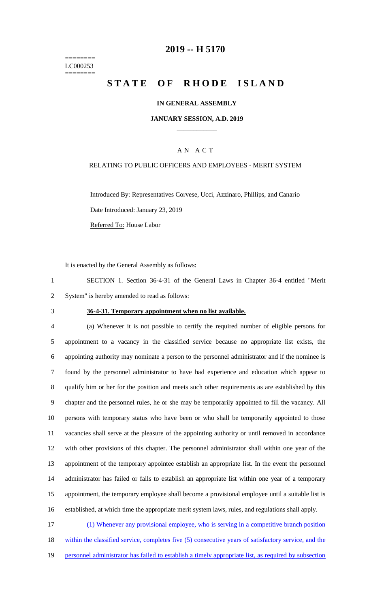======== LC000253 ========

## **2019 -- H 5170**

# **STATE OF RHODE ISLAND**

## **IN GENERAL ASSEMBLY**

### **JANUARY SESSION, A.D. 2019 \_\_\_\_\_\_\_\_\_\_\_\_**

## A N A C T

### RELATING TO PUBLIC OFFICERS AND EMPLOYEES - MERIT SYSTEM

Introduced By: Representatives Corvese, Ucci, Azzinaro, Phillips, and Canario Date Introduced: January 23, 2019 Referred To: House Labor

It is enacted by the General Assembly as follows:

1 SECTION 1. Section 36-4-31 of the General Laws in Chapter 36-4 entitled "Merit 2 System" is hereby amended to read as follows:

### 3 **36-4-31. Temporary appointment when no list available.**

 (a) Whenever it is not possible to certify the required number of eligible persons for appointment to a vacancy in the classified service because no appropriate list exists, the appointing authority may nominate a person to the personnel administrator and if the nominee is found by the personnel administrator to have had experience and education which appear to qualify him or her for the position and meets such other requirements as are established by this chapter and the personnel rules, he or she may be temporarily appointed to fill the vacancy. All persons with temporary status who have been or who shall be temporarily appointed to those vacancies shall serve at the pleasure of the appointing authority or until removed in accordance with other provisions of this chapter. The personnel administrator shall within one year of the appointment of the temporary appointee establish an appropriate list. In the event the personnel administrator has failed or fails to establish an appropriate list within one year of a temporary appointment, the temporary employee shall become a provisional employee until a suitable list is established, at which time the appropriate merit system laws, rules, and regulations shall apply.

17 (1) Whenever any provisional employee, who is serving in a competitive branch position 18 within the classified service, completes five (5) consecutive years of satisfactory service, and the 19 personnel administrator has failed to establish a timely appropriate list, as required by subsection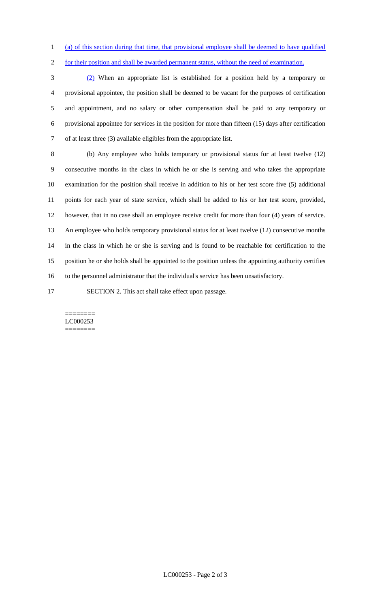(a) of this section during that time, that provisional employee shall be deemed to have qualified

2 for their position and shall be awarded permanent status, without the need of examination.

 (2) When an appropriate list is established for a position held by a temporary or provisional appointee, the position shall be deemed to be vacant for the purposes of certification and appointment, and no salary or other compensation shall be paid to any temporary or provisional appointee for services in the position for more than fifteen (15) days after certification of at least three (3) available eligibles from the appropriate list.

 (b) Any employee who holds temporary or provisional status for at least twelve (12) consecutive months in the class in which he or she is serving and who takes the appropriate examination for the position shall receive in addition to his or her test score five (5) additional points for each year of state service, which shall be added to his or her test score, provided, however, that in no case shall an employee receive credit for more than four (4) years of service. An employee who holds temporary provisional status for at least twelve (12) consecutive months in the class in which he or she is serving and is found to be reachable for certification to the position he or she holds shall be appointed to the position unless the appointing authority certifies to the personnel administrator that the individual's service has been unsatisfactory.

SECTION 2. This act shall take effect upon passage.

#### ======== LC000253 ========